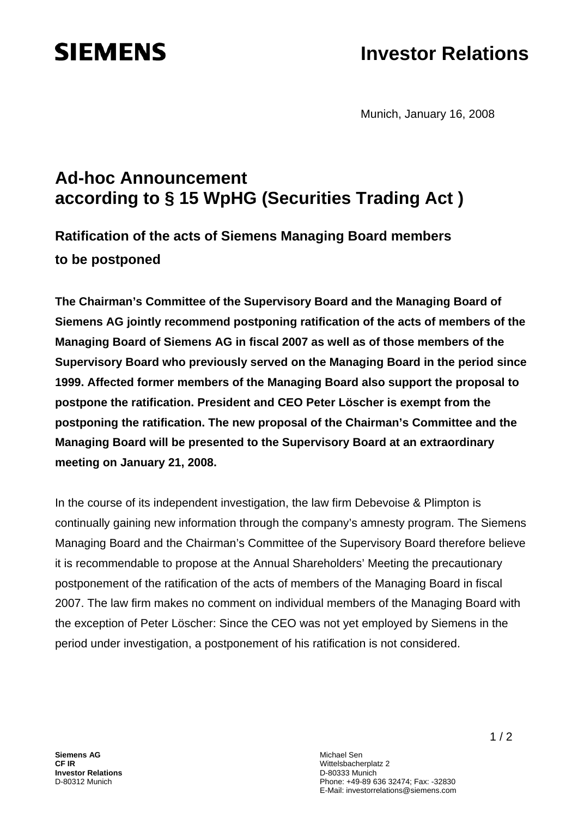# **SIEMENS**

## **Investor Relations**

Munich, January 16, 2008

### **Ad-hoc Announcement according to § 15 WpHG (Securities Trading Act )**

### **Ratification of the acts of Siemens Managing Board members to be postponed**

**The Chairman's Committee of the Supervisory Board and the Managing Board of Siemens AG jointly recommend postponing ratification of the acts of members of the Managing Board of Siemens AG in fiscal 2007 as well as of those members of the Supervisory Board who previously served on the Managing Board in the period since 1999. Affected former members of the Managing Board also support the proposal to postpone the ratification. President and CEO Peter Löscher is exempt from the postponing the ratification. The new proposal of the Chairman's Committee and the Managing Board will be presented to the Supervisory Board at an extraordinary meeting on January 21, 2008.** 

In the course of its independent investigation, the law firm Debevoise & Plimpton is continually gaining new information through the company's amnesty program. The Siemens Managing Board and the Chairman's Committee of the Supervisory Board therefore believe it is recommendable to propose at the Annual Shareholders' Meeting the precautionary postponement of the ratification of the acts of members of the Managing Board in fiscal 2007. The law firm makes no comment on individual members of the Managing Board with the exception of Peter Löscher: Since the CEO was not yet employed by Siemens in the period under investigation, a postponement of his ratification is not considered.

Michael Sen Wittelsbacherplatz 2 D-80333 Munich Phone: +49-89 636 32474; Fax: -32830 E-Mail: investorrelations@siemens.com